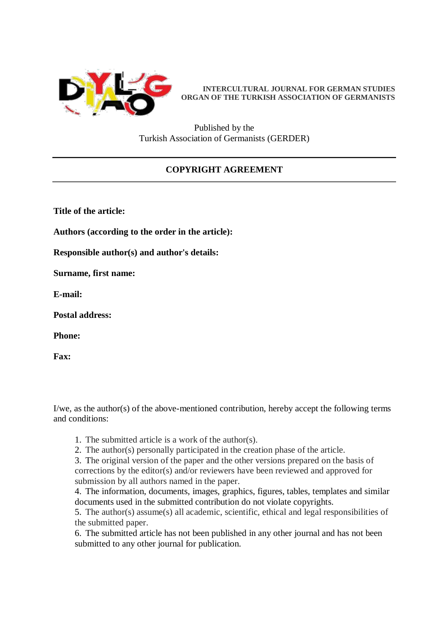

**INTERCULTURAL JOURNAL FOR GERMAN STUDIES ORGAN OF THE TURKISH ASSOCIATION OF GERMANISTS**

Published by the Turkish Association of Germanists (GERDER)

## **COPYRIGHT AGREEMENT**

**Title of the article:**

**Authors (according to the order in the article):**

**Responsible author(s) and author's details:**

**Surname, first name:**

**E-mail:**

**Postal address:**

**Phone:**

**Fax:**

I/we, as the author(s) of the above-mentioned contribution, hereby accept the following terms and conditions:

- 1. The submitted article is a work of the author(s).
- 2. The author(s) personally participated in the creation phase of the article.

3. The original version of the paper and the other versions prepared on the basis of corrections by the editor(s) and/or reviewers have been reviewed and approved for submission by all authors named in the paper.

4. The information, documents, images, graphics, figures, tables, templates and similar documents used in the submitted contribution do not violate copyrights.

5. The author(s) assume(s) all academic, scientific, ethical and legal responsibilities of the submitted paper.

6. The submitted article has not been published in any other journal and has not been submitted to any other journal for publication.